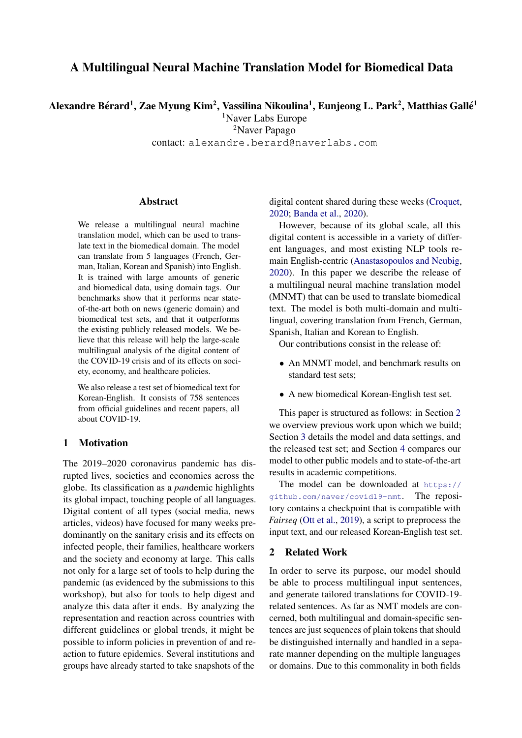# A Multilingual Neural Machine Translation Model for Biomedical Data

Alexandre Bérard<sup>1</sup>, Zae Myung Kim<sup>2</sup>, Vassilina Nikoulina<sup>1</sup>, Eunjeong L. Park<sup>2</sup>, Matthias Gallé<sup>1</sup>

<sup>1</sup>Naver Labs Europe

<sup>2</sup>Naver Papago

contact: alexandre.berard@naverlabs.com

## **Abstract**

We release a multilingual neural machine translation model, which can be used to translate text in the biomedical domain. The model can translate from 5 languages (French, German, Italian, Korean and Spanish) into English. It is trained with large amounts of generic and biomedical data, using domain tags. Our benchmarks show that it performs near stateof-the-art both on news (generic domain) and biomedical test sets, and that it outperforms the existing publicly released models. We believe that this release will help the large-scale multilingual analysis of the digital content of the COVID-19 crisis and of its effects on society, economy, and healthcare policies.

We also release a test set of biomedical text for Korean-English. It consists of 758 sentences from official guidelines and recent papers, all about COVID-19.

### 1 Motivation

The 2019–2020 coronavirus pandemic has disrupted lives, societies and economies across the globe. Its classification as a *pan*demic highlights its global impact, touching people of all languages. Digital content of all types (social media, news articles, videos) have focused for many weeks predominantly on the sanitary crisis and its effects on infected people, their families, healthcare workers and the society and economy at large. This calls not only for a large set of tools to help during the pandemic (as evidenced by the submissions to this workshop), but also for tools to help digest and analyze this data after it ends. By analyzing the representation and reaction across countries with different guidelines or global trends, it might be possible to inform policies in prevention of and reaction to future epidemics. Several institutions and groups have already started to take snapshots of the

digital content shared during these weeks [\(Croquet,](#page-4-0) [2020;](#page-4-0) [Banda et al.,](#page-4-1) [2020\)](#page-4-1).

However, because of its global scale, all this digital content is accessible in a variety of different languages, and most existing NLP tools remain English-centric [\(Anastasopoulos and Neubig,](#page-4-2) [2020\)](#page-4-2). In this paper we describe the release of a multilingual neural machine translation model (MNMT) that can be used to translate biomedical text. The model is both multi-domain and multilingual, covering translation from French, German, Spanish, Italian and Korean to English.

Our contributions consist in the release of:

- An MNMT model, and benchmark results on standard test sets;
- A new biomedical Korean-English test set.

This paper is structured as follows: in Section [2](#page-0-0) we overview previous work upon which we build; Section [3](#page-1-0) details the model and data settings, and the released test set; and Section [4](#page-3-0) compares our model to other public models and to state-of-the-art results in academic competitions.

The model can be downloaded at [https://](https://github.com/naver/covid19-nmt) [github.com/naver/covid19-nmt](https://github.com/naver/covid19-nmt). The repository contains a checkpoint that is compatible with *Fairseq* [\(Ott et al.,](#page-5-0) [2019\)](#page-5-0), a script to preprocess the input text, and our released Korean-English test set.

## <span id="page-0-0"></span>2 Related Work

In order to serve its purpose, our model should be able to process multilingual input sentences, and generate tailored translations for COVID-19 related sentences. As far as NMT models are concerned, both multilingual and domain-specific sentences are just sequences of plain tokens that should be distinguished internally and handled in a separate manner depending on the multiple languages or domains. Due to this commonality in both fields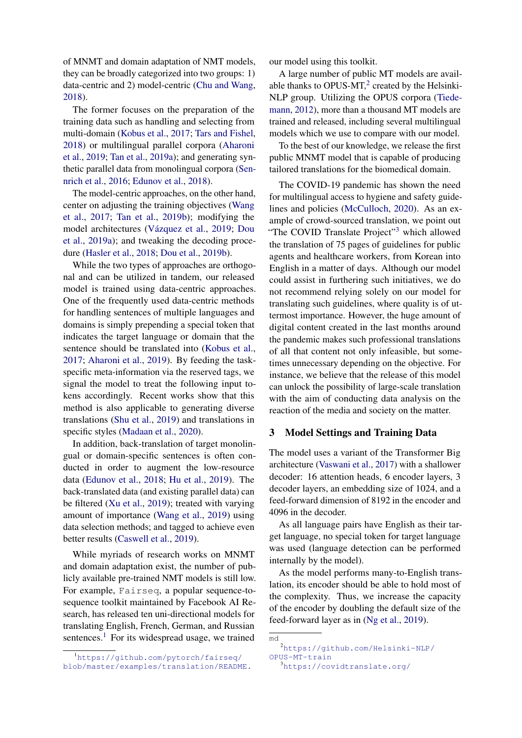of MNMT and domain adaptation of NMT models, they can be broadly categorized into two groups: 1) data-centric and 2) model-centric [\(Chu and Wang,](#page-4-3) [2018\)](#page-4-3).

The former focuses on the preparation of the training data such as handling and selecting from multi-domain [\(Kobus et al.,](#page-5-1) [2017;](#page-5-1) [Tars and Fishel,](#page-5-2) [2018\)](#page-5-2) or multilingual parallel corpora [\(Aharoni](#page-4-4) [et al.,](#page-4-4) [2019;](#page-4-4) [Tan et al.,](#page-5-3) [2019a\)](#page-5-3); and generating synthetic parallel data from monolingual corpora [\(Sen](#page-5-4)[nrich et al.,](#page-5-4) [2016;](#page-5-4) [Edunov et al.,](#page-4-5) [2018\)](#page-4-5).

The model-centric approaches, on the other hand, center on adjusting the training objectives [\(Wang](#page-5-5) [et al.,](#page-5-5) [2017;](#page-5-5) [Tan et al.,](#page-5-6) [2019b\)](#page-5-6); modifying the model architectures (Vázquez et al., [2019;](#page-5-7) [Dou](#page-4-6) [et al.,](#page-4-6) [2019a\)](#page-4-6); and tweaking the decoding procedure [\(Hasler et al.,](#page-4-7) [2018;](#page-4-7) [Dou et al.,](#page-4-8) [2019b\)](#page-4-8).

While the two types of approaches are orthogonal and can be utilized in tandem, our released model is trained using data-centric approaches. One of the frequently used data-centric methods for handling sentences of multiple languages and domains is simply prepending a special token that indicates the target language or domain that the sentence should be translated into [\(Kobus et al.,](#page-5-1) [2017;](#page-5-1) [Aharoni et al.,](#page-4-4) [2019\)](#page-4-4). By feeding the taskspecific meta-information via the reserved tags, we signal the model to treat the following input tokens accordingly. Recent works show that this method is also applicable to generating diverse translations [\(Shu et al.,](#page-5-8) [2019\)](#page-5-8) and translations in specific styles [\(Madaan et al.,](#page-5-9) [2020\)](#page-5-9).

In addition, back-translation of target monolingual or domain-specific sentences is often conducted in order to augment the low-resource data [\(Edunov et al.,](#page-4-5) [2018;](#page-4-5) [Hu et al.,](#page-4-9) [2019\)](#page-4-9). The back-translated data (and existing parallel data) can be filtered [\(Xu et al.,](#page-5-10) [2019\)](#page-5-10); treated with varying amount of importance [\(Wang et al.,](#page-5-11) [2019\)](#page-5-11) using data selection methods; and tagged to achieve even better results [\(Caswell et al.,](#page-4-10) [2019\)](#page-4-10).

While myriads of research works on MNMT and domain adaptation exist, the number of publicly available pre-trained NMT models is still low. For example, Fairseq, a popular sequence-tosequence toolkit maintained by Facebook AI Research, has released ten uni-directional models for translating English, French, German, and Russian sentences. $<sup>1</sup>$  $<sup>1</sup>$  $<sup>1</sup>$  For its widespread usage, we trained</sup>

[our model using this toolkit.](https://github.com/pytorch/fairseq/blob/master/examples/translation/README.md)

[A large number of public MT models are avail](https://github.com/pytorch/fairseq/blob/master/examples/translation/README.md)[able thanks to OPUS-MT,](https://github.com/pytorch/fairseq/blob/master/examples/translation/README.md) $2$  created by the Helsinki-[NLP group. Utilizing the OPUS corpora \(Tiede](https://github.com/pytorch/fairseq/blob/master/examples/translation/README.md)[mann,](#page-5-12) [2012\), more than a thousand MT models are](https://github.com/pytorch/fairseq/blob/master/examples/translation/README.md) [trained and released, including several multilingual](https://github.com/pytorch/fairseq/blob/master/examples/translation/README.md) [models which we use to compare with our model.](https://github.com/pytorch/fairseq/blob/master/examples/translation/README.md)

[To the best of our knowledge, we release the first](https://github.com/pytorch/fairseq/blob/master/examples/translation/README.md) [public MNMT model that is capable of producing](https://github.com/pytorch/fairseq/blob/master/examples/translation/README.md) [tailored translations for the biomedical domain.](https://github.com/pytorch/fairseq/blob/master/examples/translation/README.md)

[The COVID-19 pandemic has shown the need](https://github.com/pytorch/fairseq/blob/master/examples/translation/README.md) [for multilingual access to hygiene and safety guide](https://github.com/pytorch/fairseq/blob/master/examples/translation/README.md)[lines and policies \(McCulloch,](https://github.com/pytorch/fairseq/blob/master/examples/translation/README.md) [2020\)](#page-5-13). As an ex[ample of crowd-sourced translation, we point out](https://github.com/pytorch/fairseq/blob/master/examples/translation/README.md) ["The COVID Translate Project"](https://github.com/pytorch/fairseq/blob/master/examples/translation/README.md)<sup>[3](#page-1-3)</sup> which allowed [the translation of 75 pages of guidelines for public](https://github.com/pytorch/fairseq/blob/master/examples/translation/README.md) [agents and healthcare workers, from Korean into](https://github.com/pytorch/fairseq/blob/master/examples/translation/README.md) [English in a matter of days. Although our model](https://github.com/pytorch/fairseq/blob/master/examples/translation/README.md) [could assist in furthering such initiatives, we do](https://github.com/pytorch/fairseq/blob/master/examples/translation/README.md) [not recommend relying solely on our model for](https://github.com/pytorch/fairseq/blob/master/examples/translation/README.md) [translating such guidelines, where quality is of ut](https://github.com/pytorch/fairseq/blob/master/examples/translation/README.md)[termost importance. However, the huge amount of](https://github.com/pytorch/fairseq/blob/master/examples/translation/README.md) [digital content created in the last months around](https://github.com/pytorch/fairseq/blob/master/examples/translation/README.md) [the pandemic makes such professional translations](https://github.com/pytorch/fairseq/blob/master/examples/translation/README.md) [of all that content not only infeasible, but some](https://github.com/pytorch/fairseq/blob/master/examples/translation/README.md)[times unnecessary depending on the objective. For](https://github.com/pytorch/fairseq/blob/master/examples/translation/README.md) [instance, we believe that the release of this model](https://github.com/pytorch/fairseq/blob/master/examples/translation/README.md) [can unlock the possibility of large-scale translation](https://github.com/pytorch/fairseq/blob/master/examples/translation/README.md) [with the aim of conducting data analysis on the](https://github.com/pytorch/fairseq/blob/master/examples/translation/README.md) [reaction of the media and society on the matter.](https://github.com/pytorch/fairseq/blob/master/examples/translation/README.md)

#### <span id="page-1-0"></span>[3 Model Settings and Training Data](https://github.com/pytorch/fairseq/blob/master/examples/translation/README.md)

[The model uses a variant of the Transformer Big](https://github.com/pytorch/fairseq/blob/master/examples/translation/README.md) [architecture \(Vaswani et al.,](https://github.com/pytorch/fairseq/blob/master/examples/translation/README.md) [2017\)](#page-5-14) with a shallower [decoder: 16 attention heads, 6 encoder layers, 3](https://github.com/pytorch/fairseq/blob/master/examples/translation/README.md) [decoder layers, an embedding size of 1024, and a](https://github.com/pytorch/fairseq/blob/master/examples/translation/README.md) [feed-forward dimension of 8192 in the encoder and](https://github.com/pytorch/fairseq/blob/master/examples/translation/README.md) [4096 in the decoder.](https://github.com/pytorch/fairseq/blob/master/examples/translation/README.md)

[As all language pairs have English as their tar](https://github.com/pytorch/fairseq/blob/master/examples/translation/README.md)[get language, no special token for target language](https://github.com/pytorch/fairseq/blob/master/examples/translation/README.md) [was used \(language detection can be performed](https://github.com/pytorch/fairseq/blob/master/examples/translation/README.md) [internally by the model\).](https://github.com/pytorch/fairseq/blob/master/examples/translation/README.md)

[As the model performs many-to-English trans](https://github.com/pytorch/fairseq/blob/master/examples/translation/README.md)[lation, its encoder should be able to hold most of](https://github.com/pytorch/fairseq/blob/master/examples/translation/README.md) [the complexity. Thus, we increase the capacity](https://github.com/pytorch/fairseq/blob/master/examples/translation/README.md) [of the encoder by doubling the default size of the](https://github.com/pytorch/fairseq/blob/master/examples/translation/README.md) [feed-forward layer as in \(Ng et al.,](https://github.com/pytorch/fairseq/blob/master/examples/translation/README.md) [2019\)](#page-5-15).

<span id="page-1-1"></span><sup>1</sup>[https://github.com/pytorch/fairseq/](https://github.com/pytorch/fairseq/blob/master/examples/translation/README.md) [blob/master/examples/translation/README.](https://github.com/pytorch/fairseq/blob/master/examples/translation/README.md)

[md](https://github.com/pytorch/fairseq/blob/master/examples/translation/README.md)

<span id="page-1-2"></span><sup>2</sup>[https://github.com/Helsinki-NLP/](https://github.com/Helsinki-NLP/OPUS-MT-train) [OPUS-MT-train](https://github.com/Helsinki-NLP/OPUS-MT-train)

<span id="page-1-3"></span><sup>3</sup><https://covidtranslate.org/>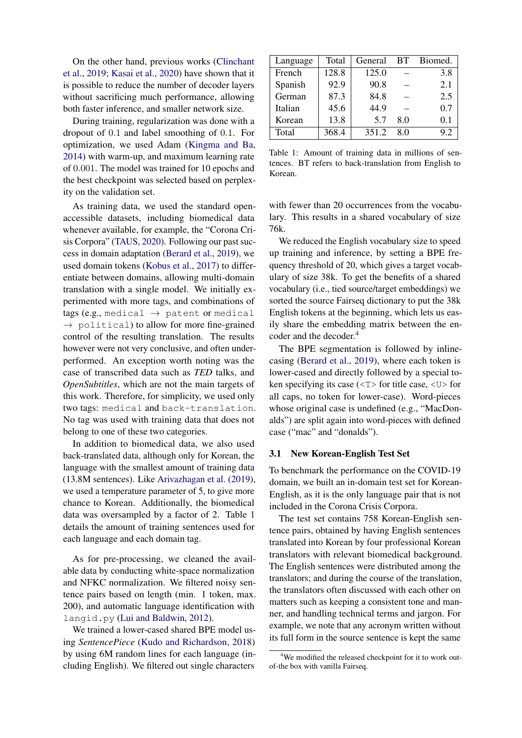On the other hand, previous works [\(Clinchant](#page-4-11) [et al.,](#page-4-11) [2019;](#page-4-11) [Kasai et al.,](#page-5-16) [2020\)](#page-5-16) have shown that it is possible to reduce the number of decoder layers without sacrificing much performance, allowing both faster inference, and smaller network size.

During training, regularization was done with a dropout of 0.1 and label smoothing of 0.1. For optimization, we used Adam [\(Kingma and Ba,](#page-5-17) [2014\)](#page-5-17) with warm-up, and maximum learning rate of 0.001. The model was trained for 10 epochs and the best checkpoint was selected based on perplexity on the validation set.

As training data, we used the standard openaccessible datasets, including biomedical data whenever available, for example, the "Corona Crisis Corpora" [\(TAUS,](#page-5-18) [2020\)](#page-5-18). Following our past success in domain adaptation [\(Berard et al.,](#page-4-12) [2019\)](#page-4-12), we used domain tokens [\(Kobus et al.,](#page-5-1) [2017\)](#page-5-1) to differentiate between domains, allowing multi-domain translation with a single model. We initially experimented with more tags, and combinations of tags (e.g., medical  $\rightarrow$  patent or medical  $\rightarrow$  political) to allow for more fine-grained control of the resulting translation. The results however were not very conclusive, and often underperformed. An exception worth noting was the case of transcribed data such as *TED* talks, and *OpenSubtitles*, which are not the main targets of this work. Therefore, for simplicity, we used only two tags: medical and back-translation. No tag was used with training data that does not belong to one of these two categories.

In addition to biomedical data, we also used back-translated data, although only for Korean, the language with the smallest amount of training data (13.8M sentences). Like [Arivazhagan et al.](#page-4-13) [\(2019\)](#page-4-13), we used a temperature parameter of 5, to give more chance to Korean. Additionally, the biomedical data was oversampled by a factor of 2. Table [1](#page-2-0) details the amount of training sentences used for each language and each domain tag.

As for pre-processing, we cleaned the available data by conducting white-space normalization and NFKC normalization. We filtered noisy sentence pairs based on length (min. 1 token, max. 200), and automatic language identification with langid.py [\(Lui and Baldwin,](#page-5-19) [2012\)](#page-5-19).

We trained a lower-cased shared BPE model using *SentencePiece* [\(Kudo and Richardson,](#page-5-20) [2018\)](#page-5-20) by using 6M random lines for each language (including English). We filtered out single characters

<span id="page-2-0"></span>

| Language | Total | General | BT. | Biomed. |
|----------|-------|---------|-----|---------|
| French   | 128.8 | 125.0   |     | 3.8     |
| Spanish  | 92.9  | 90.8    |     | 2.1     |
| German   | 87.3  | 84.8    |     | 2.5     |
| Italian  | 45.6  | 44.9    |     | 0.7     |
| Korean   | 13.8  | 5.7     | 8.0 | 0.1     |
| Total    | 368.4 | 351.2   | 80  | 9.2     |

Table 1: Amount of training data in millions of sentences. BT refers to back-translation from English to Korean.

with fewer than 20 occurrences from the vocabulary. This results in a shared vocabulary of size 76k.

We reduced the English vocabulary size to speed up training and inference, by setting a BPE frequency threshold of 20, which gives a target vocabulary of size 38k. To get the benefits of a shared vocabulary (i.e., tied source/target embeddings) we sorted the source Fairseq dictionary to put the 38k English tokens at the beginning, which lets us easily share the embedding matrix between the en-coder and the decoder.<sup>[4](#page-2-1)</sup>

The BPE segmentation is followed by inlinecasing [\(Berard et al.,](#page-4-12) [2019\)](#page-4-12), where each token is lower-cased and directly followed by a special token specifying its case  $(\langle T \rangle)$  for title case,  $\langle U \rangle$  for all caps, no token for lower-case). Word-pieces whose original case is undefined (e.g., "MacDonalds") are split again into word-pieces with defined case ("mac" and "donalds").

#### 3.1 New Korean-English Test Set

To benchmark the performance on the COVID-19 domain, we built an in-domain test set for Korean-English, as it is the only language pair that is not included in the Corona Crisis Corpora.

The test set contains 758 Korean-English sentence pairs, obtained by having English sentences translated into Korean by four professional Korean translators with relevant biomedical background. The English sentences were distributed among the translators; and during the course of the translation, the translators often discussed with each other on matters such as keeping a consistent tone and manner, and handling technical terms and jargon. For example, we note that any acronym written without its full form in the source sentence is kept the same

<span id="page-2-1"></span><sup>&</sup>lt;sup>4</sup>We modified the released checkpoint for it to work outof-the box with vanilla Fairseq.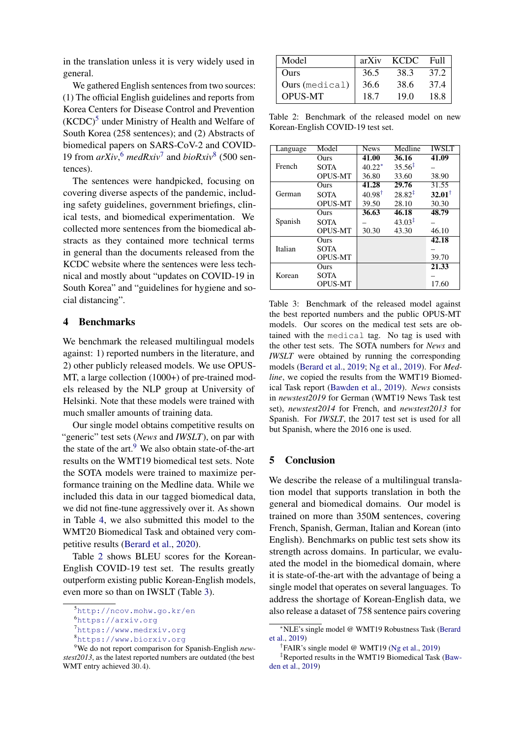in the translation unless it is very widely used in general.

We gathered English sentences from two sources: (1) The official English guidelines and reports from Korea Centers for Disease Control and Prevention  $(KCDC)^5$  $(KCDC)^5$  under Ministry of Health and Welfare of South Korea (258 sentences); and (2) Abstracts of biomedical papers on SARS-CoV-2 and COVID-19 from *arXiv*, [6](#page-3-2) *medRxiv*[7](#page-3-3) and *bioRxiv*[8](#page-3-4) (500 sentences).

The sentences were handpicked, focusing on covering diverse aspects of the pandemic, including safety guidelines, government briefings, clinical tests, and biomedical experimentation. We collected more sentences from the biomedical abstracts as they contained more technical terms in general than the documents released from the KCDC website where the sentences were less technical and mostly about "updates on COVID-19 in South Korea" and "guidelines for hygiene and social distancing".

## <span id="page-3-0"></span>4 Benchmarks

We benchmark the released multilingual models against: 1) reported numbers in the literature, and 2) other publicly released models. We use OPUS-MT, a large collection (1000+) of pre-trained models released by the NLP group at University of Helsinki. Note that these models were trained with much smaller amounts of training data.

Our single model obtains competitive results on "generic" test sets (*News* and *IWSLT*), on par with the state of the art.<sup>[9](#page-3-5)</sup> We also obtain state-of-the-art results on the WMT19 biomedical test sets. Note the SOTA models were trained to maximize performance training on the Medline data. While we included this data in our tagged biomedical data, we did not fine-tune aggressively over it. As shown in Table [4,](#page-4-14) we also submitted this model to the WMT20 Biomedical Task and obtained very competitive results [\(Berard et al.,](#page-4-15) [2020\)](#page-4-15).

Table [2](#page-3-6) shows BLEU scores for the Korean-English COVID-19 test set. The results greatly outperform existing public Korean-English models, even more so than on IWSLT (Table [3\)](#page-3-7).

<span id="page-3-6"></span>

| Model          | arXiv | <b>KCDC</b> | Full |
|----------------|-------|-------------|------|
| Ours           | 36.5  | 38.3        | 37.2 |
| Ours (medical) | 36.6  | 38.6        | 37.4 |
| <b>OPUS-MT</b> | 18.7  | 19.0        | 18.8 |

Table 2: Benchmark of the released model on new Korean-English COVID-19 test set.

<span id="page-3-7"></span>

| Language | Model          | <b>News</b>       | Medline            | <b>IWSLT</b> |
|----------|----------------|-------------------|--------------------|--------------|
|          | Ours           | 41.00             | 36.16              | 41.09        |
| French   | <b>SOTA</b>    | $40.22*$          | $35.56^{\ddagger}$ |              |
|          | <b>OPUS-MT</b> | 36.80             | 33.60              | 38.90        |
| German   | Ours           | 41.28             | 29.76              | 31.55        |
|          | <b>SOTA</b>    | $40.98^{\dagger}$ | $28.82^{\ddagger}$ | $32.01^+$    |
|          | <b>OPUS-MT</b> | 39.50             | 28.10              | 30.30        |
| Spanish  | Ours           | 36.63             | 46.18              | 48.79        |
|          | <b>SOTA</b>    |                   | $43.03^{\ddagger}$ |              |
|          | <b>OPUS-MT</b> | 30.30             | 43.30              | 46.10        |
| Italian  | Ours           |                   |                    | 42.18        |
|          | <b>SOTA</b>    |                   |                    |              |
|          | <b>OPUS-MT</b> |                   |                    | 39.70        |
| Korean   | Ours           |                   |                    | 21.33        |
|          | <b>SOTA</b>    |                   |                    |              |
|          | <b>OPUS-MT</b> |                   |                    | 17.60        |

Table 3: Benchmark of the released model against the best reported numbers and the public OPUS-MT models. Our scores on the medical test sets are obtained with the medical tag. No tag is used with the other test sets. The SOTA numbers for *News* and *IWSLT* were obtained by running the corresponding models [\(Berard et al.,](#page-4-12) [2019;](#page-4-12) [Ng et al.,](#page-5-15) [2019\)](#page-5-15). For *Medline*, we copied the results from the WMT19 Biomedical Task report [\(Bawden et al.,](#page-4-16) [2019\)](#page-4-16). *News* consists in *newstest2019* for German (WMT19 News Task test set), *newstest2014* for French, and *newstest2013* for Spanish. For *IWSLT*, the 2017 test set is used for all but Spanish, where the 2016 one is used.

#### 5 Conclusion

We describe the release of a multilingual translation model that supports translation in both the general and biomedical domains. Our model is trained on more than 350M sentences, covering French, Spanish, German, Italian and Korean (into English). Benchmarks on public test sets show its strength across domains. In particular, we evaluated the model in the biomedical domain, where it is state-of-the-art with the advantage of being a single model that operates on several languages. To address the shortage of Korean-English data, we also release a dataset of 758 sentence pairs covering

<span id="page-3-1"></span><sup>5</sup><http://ncov.mohw.go.kr/en>

<span id="page-3-2"></span><sup>6</sup><https://arxiv.org>

<span id="page-3-3"></span><sup>7</sup><https://www.medrxiv.org>

<span id="page-3-5"></span><span id="page-3-4"></span><sup>8</sup><https://www.biorxiv.org>

<sup>9</sup>We do not report comparison for Spanish-English *newstest2013*, as the latest reported numbers are outdated (the best WMT entry achieved 30.4).

<sup>∗</sup>NLE's single model @ WMT19 Robustness Task [\(Berard](#page-4-12) [et al.,](#page-4-12) [2019\)](#page-4-12)

<sup>†</sup> FAIR's single model @ WMT19 [\(Ng et al.,](#page-5-15) [2019\)](#page-5-15)

<sup>‡</sup>Reported results in the WMT19 Biomedical Task [\(Baw](#page-4-16)[den et al.,](#page-4-16) [2019\)](#page-4-16)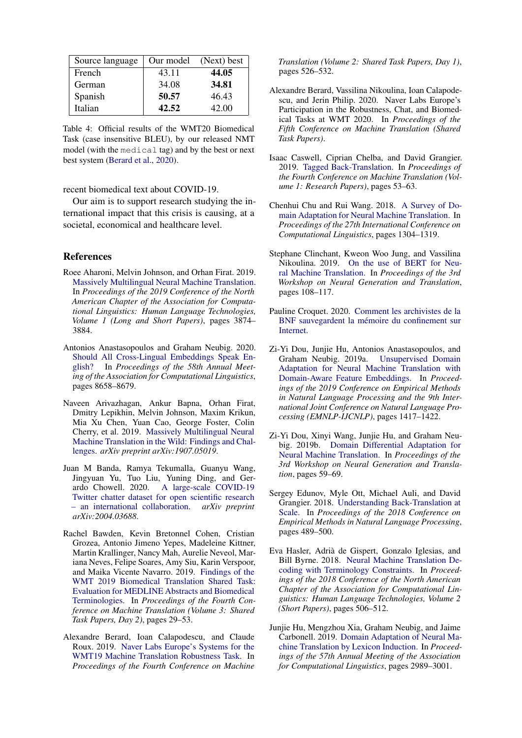<span id="page-4-14"></span>

| Source language | Our model | (Next) best |
|-----------------|-----------|-------------|
| French          | 43.11     | 44.05       |
| German          | 34.08     | 34.81       |
| Spanish         | 50.57     | 46.43       |
| Italian         | 42.52     | 42.00       |

Table 4: Official results of the WMT20 Biomedical Task (case insensitive BLEU), by our released NMT model (with the medical tag) and by the best or next best system [\(Berard et al.,](#page-4-15) [2020\)](#page-4-15).

recent biomedical text about COVID-19.

Our aim is to support research studying the international impact that this crisis is causing, at a societal, economical and healthcare level.

#### References

- <span id="page-4-4"></span>Roee Aharoni, Melvin Johnson, and Orhan Firat. 2019. [Massively Multilingual Neural Machine Translation.](https://doi.org/10.18653/v1/N19-1388) In *Proceedings of the 2019 Conference of the North American Chapter of the Association for Computational Linguistics: Human Language Technologies, Volume 1 (Long and Short Papers)*, pages 3874– 3884.
- <span id="page-4-2"></span>Antonios Anastasopoulos and Graham Neubig. 2020. [Should All Cross-Lingual Embeddings Speak En](https://doi.org/10.18653/v1/2020.acl-main.766)[glish?](https://doi.org/10.18653/v1/2020.acl-main.766) In *Proceedings of the 58th Annual Meeting of the Association for Computational Linguistics*, pages 8658–8679.
- <span id="page-4-13"></span>Naveen Arivazhagan, Ankur Bapna, Orhan Firat, Dmitry Lepikhin, Melvin Johnson, Maxim Krikun, Mia Xu Chen, Yuan Cao, George Foster, Colin Cherry, et al. 2019. [Massively Multilingual Neural](https://arxiv.org/abs/1907.05019) [Machine Translation in the Wild: Findings and Chal](https://arxiv.org/abs/1907.05019)[lenges.](https://arxiv.org/abs/1907.05019) *arXiv preprint arXiv:1907.05019*.
- <span id="page-4-1"></span>Juan M Banda, Ramya Tekumalla, Guanyu Wang, Jingyuan Yu, Tuo Liu, Yuning Ding, and Gerardo Chowell. 2020. [A large-scale COVID-19](https://arxiv.org/abs/2004.03688) [Twitter chatter dataset for open scientific research](https://arxiv.org/abs/2004.03688) [– an international collaboration.](https://arxiv.org/abs/2004.03688) *arXiv preprint arXiv:2004.03688*.
- <span id="page-4-16"></span>Rachel Bawden, Kevin Bretonnel Cohen, Cristian Grozea, Antonio Jimeno Yepes, Madeleine Kittner, Martin Krallinger, Nancy Mah, Aurelie Neveol, Mariana Neves, Felipe Soares, Amy Siu, Karin Verspoor, and Maika Vicente Navarro. 2019. [Findings of the](https://doi.org/10.18653/v1/W19-5403) [WMT 2019 Biomedical Translation Shared Task:](https://doi.org/10.18653/v1/W19-5403) [Evaluation for MEDLINE Abstracts and Biomedical](https://doi.org/10.18653/v1/W19-5403) [Terminologies.](https://doi.org/10.18653/v1/W19-5403) In *Proceedings of the Fourth Conference on Machine Translation (Volume 3: Shared Task Papers, Day 2)*, pages 29–53.
- <span id="page-4-12"></span>Alexandre Berard, Ioan Calapodescu, and Claude Roux. 2019. [Naver Labs Europe's Systems for the](https://doi.org/10.18653/v1/W19-5361) [WMT19 Machine Translation Robustness Task.](https://doi.org/10.18653/v1/W19-5361) In *Proceedings of the Fourth Conference on Machine*

*Translation (Volume 2: Shared Task Papers, Day 1)*, pages 526–532.

- <span id="page-4-15"></span>Alexandre Berard, Vassilina Nikoulina, Ioan Calapodescu, and Jerin Philip. 2020. Naver Labs Europe's Participation in the Robustness, Chat, and Biomedical Tasks at WMT 2020. In *Proceedings of the Fifth Conference on Machine Translation (Shared Task Papers)*.
- <span id="page-4-10"></span>Isaac Caswell, Ciprian Chelba, and David Grangier. 2019. [Tagged Back-Translation.](https://doi.org/10.18653/v1/W19-5206) In *Proceedings of the Fourth Conference on Machine Translation (Volume 1: Research Papers)*, pages 53–63.
- <span id="page-4-3"></span>Chenhui Chu and Rui Wang. 2018. [A Survey of Do](https://www.aclweb.org/anthology/C18-1111)[main Adaptation for Neural Machine Translation.](https://www.aclweb.org/anthology/C18-1111) In *Proceedings of the 27th International Conference on Computational Linguistics*, pages 1304–1319.
- <span id="page-4-11"></span>Stephane Clinchant, Kweon Woo Jung, and Vassilina Nikoulina. 2019. [On the use of BERT for Neu](https://doi.org/10.18653/v1/D19-5611)[ral Machine Translation.](https://doi.org/10.18653/v1/D19-5611) In *Proceedings of the 3rd Workshop on Neural Generation and Translation*, pages 108–117.
- <span id="page-4-0"></span>Pauline Croquet. 2020. [Comment les archivistes de la](https://www.lemonde.fr/pixels/article/2020/05/15/a-la-bnf-les-archivistes-du-web-sauvegardent-l-internet-francais-du-confinement_6039704_4408996.html) BNF sauvegardent la mémoire du confinement sur [Internet.](https://www.lemonde.fr/pixels/article/2020/05/15/a-la-bnf-les-archivistes-du-web-sauvegardent-l-internet-francais-du-confinement_6039704_4408996.html)
- <span id="page-4-6"></span>Zi-Yi Dou, Junjie Hu, Antonios Anastasopoulos, and Graham Neubig. 2019a. [Unsupervised Domain](https://doi.org/10.18653/v1/D19-1147) [Adaptation for Neural Machine Translation with](https://doi.org/10.18653/v1/D19-1147) [Domain-Aware Feature Embeddings.](https://doi.org/10.18653/v1/D19-1147) In *Proceedings of the 2019 Conference on Empirical Methods in Natural Language Processing and the 9th International Joint Conference on Natural Language Processing (EMNLP-IJCNLP)*, pages 1417–1422.
- <span id="page-4-8"></span>Zi-Yi Dou, Xinyi Wang, Junjie Hu, and Graham Neubig. 2019b. [Domain Differential Adaptation for](https://doi.org/10.18653/v1/D19-5606) [Neural Machine Translation.](https://doi.org/10.18653/v1/D19-5606) In *Proceedings of the 3rd Workshop on Neural Generation and Translation*, pages 59–69.
- <span id="page-4-5"></span>Sergey Edunov, Myle Ott, Michael Auli, and David Grangier. 2018. [Understanding Back-Translation at](https://doi.org/10.18653/v1/D18-1045) [Scale.](https://doi.org/10.18653/v1/D18-1045) In *Proceedings of the 2018 Conference on Empirical Methods in Natural Language Processing*, pages 489–500.
- <span id="page-4-7"></span>Eva Hasler, Adria de Gispert, Gonzalo Iglesias, and ` Bill Byrne. 2018. [Neural Machine Translation De](https://doi.org/10.18653/v1/N18-2081)[coding with Terminology Constraints.](https://doi.org/10.18653/v1/N18-2081) In *Proceedings of the 2018 Conference of the North American Chapter of the Association for Computational Linguistics: Human Language Technologies, Volume 2 (Short Papers)*, pages 506–512.
- <span id="page-4-9"></span>Junjie Hu, Mengzhou Xia, Graham Neubig, and Jaime Carbonell. 2019. [Domain Adaptation of Neural Ma](https://doi.org/10.18653/v1/P19-1286)[chine Translation by Lexicon Induction.](https://doi.org/10.18653/v1/P19-1286) In *Proceedings of the 57th Annual Meeting of the Association for Computational Linguistics*, pages 2989–3001.